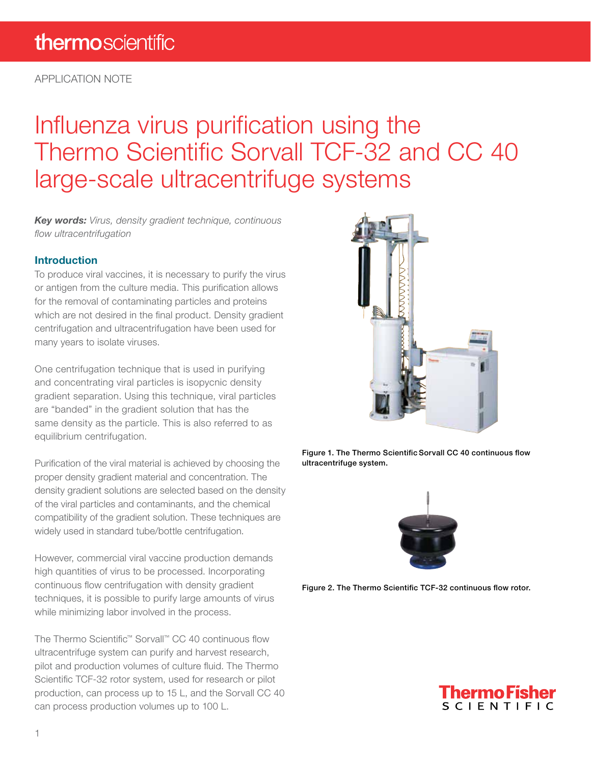APPLICATION NOTE

## Influenza virus purification using the Thermo Scientific Sorvall TCF-32 and CC 40 large-scale ultracentrifuge systems

Key words: Virus, density gradient technique, continuous flow ultracentrifugation

#### Introduction

To produce viral vaccines, it is necessary to purify the virus or antigen from the culture media. This purification allows for the removal of contaminating particles and proteins which are not desired in the final product. Density gradient centrifugation and ultracentrifugation have been used for many years to isolate viruses.

One centrifugation technique that is used in purifying and concentrating viral particles is isopycnic density gradient separation. Using this technique, viral particles are "banded" in the gradient solution that has the same density as the particle. This is also referred to as equilibrium centrifugation.

Purification of the viral material is achieved by choosing the proper density gradient material and concentration. The density gradient solutions are selected based on the density of the viral particles and contaminants, and the chemical compatibility of the gradient solution. These techniques are widely used in standard tube/bottle centrifugation.

However, commercial viral vaccine production demands high quantities of virus to be processed. Incorporating continuous flow centrifugation with density gradient techniques, it is possible to purify large amounts of virus while minimizing labor involved in the process.

The Thermo Scientific™ Sorvall™ CC 40 continuous flow ultracentrifuge system can purify and harvest research, pilot and production volumes of culture fluid. The Thermo Scientific TCF-32 rotor system, used for research or pilot production, can process up to 15 L, and the Sorvall CC 40 can process production volumes up to 100 L.



Figure 1. The Thermo Scientific Sorvall CC 40 continuous flow ultracentrifuge system.



Figure 2. The Thermo Scientific TCF-32 continuous flow rotor.

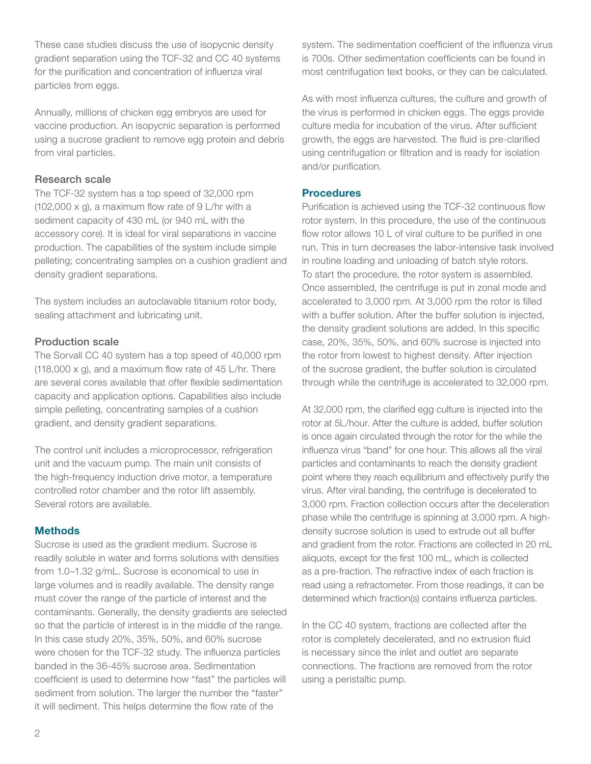These case studies discuss the use of isopycnic density gradient separation using the TCF-32 and CC 40 systems for the purification and concentration of influenza viral particles from eggs.

Annually, millions of chicken egg embryos are used for vaccine production. An isopycnic separation is performed using a sucrose gradient to remove egg protein and debris from viral particles.

#### Research scale

The TCF-32 system has a top speed of 32,000 rpm (102,000 x g), a maximum flow rate of 9 L/hr with a sediment capacity of 430 mL (or 940 mL with the accessory core). It is ideal for viral separations in vaccine production. The capabilities of the system include simple pelleting; concentrating samples on a cushion gradient and density gradient separations.

The system includes an autoclavable titanium rotor body, sealing attachment and lubricating unit.

#### Production scale

The Sorvall CC 40 system has a top speed of 40,000 rpm (118,000  $\times$  g), and a maximum flow rate of 45 L/hr. There are several cores available that offer flexible sedimentation capacity and application options. Capabilities also include simple pelleting, concentrating samples of a cushion gradient, and density gradient separations.

The control unit includes a microprocessor, refrigeration unit and the vacuum pump. The main unit consists of the high-frequency induction drive motor, a temperature controlled rotor chamber and the rotor lift assembly. Several rotors are available.

#### **Methods**

Sucrose is used as the gradient medium. Sucrose is readily soluble in water and forms solutions with densities from 1.0–1.32 g/mL. Sucrose is economical to use in large volumes and is readily available. The density range must cover the range of the particle of interest and the contaminants. Generally, the density gradients are selected so that the particle of interest is in the middle of the range. In this case study 20%, 35%, 50%, and 60% sucrose were chosen for the TCF-32 study. The influenza particles banded in the 36-45% sucrose area. Sedimentation coefficient is used to determine how "fast" the particles will sediment from solution. The larger the number the "faster" it will sediment. This helps determine the flow rate of the

system. The sedimentation coefficient of the influenza virus is 700s. Other sedimentation coefficients can be found in most centrifugation text books, or they can be calculated.

As with most influenza cultures, the culture and growth of the virus is performed in chicken eggs. The eggs provide culture media for incubation of the virus. After sufficient growth, the eggs are harvested. The fluid is pre-clarified using centrifugation or filtration and is ready for isolation and/or purification.

#### **Procedures**

Purification is achieved using the TCF-32 continuous flow rotor system. In this procedure, the use of the continuous flow rotor allows 10 L of viral culture to be purified in one run. This in turn decreases the labor-intensive task involved in routine loading and unloading of batch style rotors. To start the procedure, the rotor system is assembled. Once assembled, the centrifuge is put in zonal mode and accelerated to 3,000 rpm. At 3,000 rpm the rotor is filled with a buffer solution. After the buffer solution is injected, the density gradient solutions are added. In this specific case, 20%, 35%, 50%, and 60% sucrose is injected into the rotor from lowest to highest density. After injection of the sucrose gradient, the buffer solution is circulated through while the centrifuge is accelerated to 32,000 rpm.

At 32,000 rpm, the clarified egg culture is injected into the rotor at 5L/hour. After the culture is added, buffer solution is once again circulated through the rotor for the while the influenza virus "band" for one hour. This allows all the viral particles and contaminants to reach the density gradient point where they reach equilibrium and effectively purify the virus. After viral banding, the centrifuge is decelerated to 3,000 rpm. Fraction collection occurs after the deceleration phase while the centrifuge is spinning at 3,000 rpm. A highdensity sucrose solution is used to extrude out all buffer and gradient from the rotor. Fractions are collected in 20 mL aliquots, except for the first 100 mL, which is collected as a pre-fraction. The refractive index of each fraction is read using a refractometer. From those readings, it can be determined which fraction(s) contains influenza particles.

In the CC 40 system, fractions are collected after the rotor is completely decelerated, and no extrusion fluid is necessary since the inlet and outlet are separate connections. The fractions are removed from the rotor using a peristaltic pump.